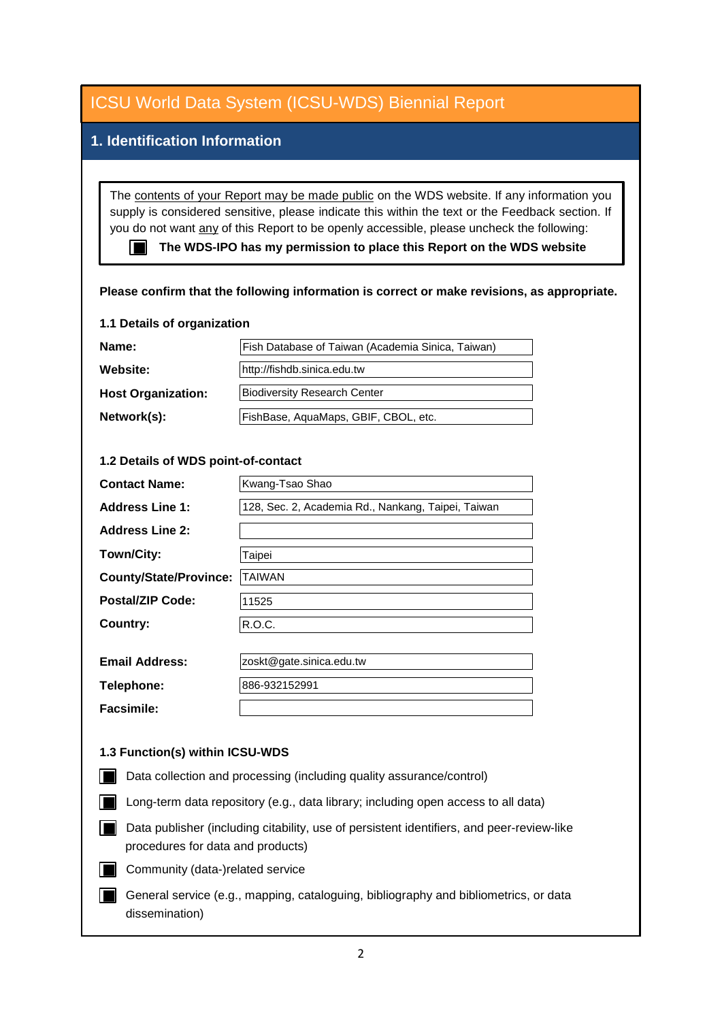# **1. Identification Information**

The contents of your Report may be made public on the WDS website. If any information you supply is considered sensitive, please indicate this within the text or the Feedback section. If you do not want any of this Report to be openly accessible, please uncheck the following:

■ The WDS-IPO has my permission to place this Report on the WDS website

#### **Please confirm that the following information is correct or make revisions, as appropriate.**

#### **1.1 Details of organization**

| Name:                     | Fish Database of Taiwan (Academia Sinica, Taiwan) |
|---------------------------|---------------------------------------------------|
| Website:                  | http://fishdb.sinica.edu.tw                       |
| <b>Host Organization:</b> | Biodiversity Research Center                      |
| Network(s):               | FishBase, AquaMaps, GBIF, CBOL, etc.              |

#### **1.2 Details of WDS point-of-contact**

| Network(s):                         | FishBase, AquaMaps, GBIF, CBOL, etc.               |
|-------------------------------------|----------------------------------------------------|
|                                     |                                                    |
| 1.2 Details of WDS point-of-contact |                                                    |
| <b>Contact Name:</b>                | Kwang-Tsao Shao                                    |
| <b>Address Line 1:</b>              | 128, Sec. 2, Academia Rd., Nankang, Taipei, Taiwan |
| <b>Address Line 2:</b>              |                                                    |
| Town/City:                          | Taipei                                             |
| <b>County/State/Province:</b>       | ITAIWAN                                            |
| <b>Postal/ZIP Code:</b>             | 11525                                              |
| Country:                            | R.O.C.                                             |
|                                     |                                                    |
| <b>Email Address:</b>               | zoskt@gate.sinica.edu.tw                           |
| Telephone:                          | 886-932152991                                      |
|                                     |                                                    |

**Facsimile:**

### **1.3 Function(s) within ICSU-WDS**

- Data collection and processing (including quality assurance/control)
- Long-term data repository (e.g., data library; including open access to all data)
- Data publisher (including citability, use of persistent identifiers, and peer-review-like procedures for data and products)
- Community (data-)related service
- General service (e.g., mapping, cataloguing, bibliography and bibliometrics, or data dissemination)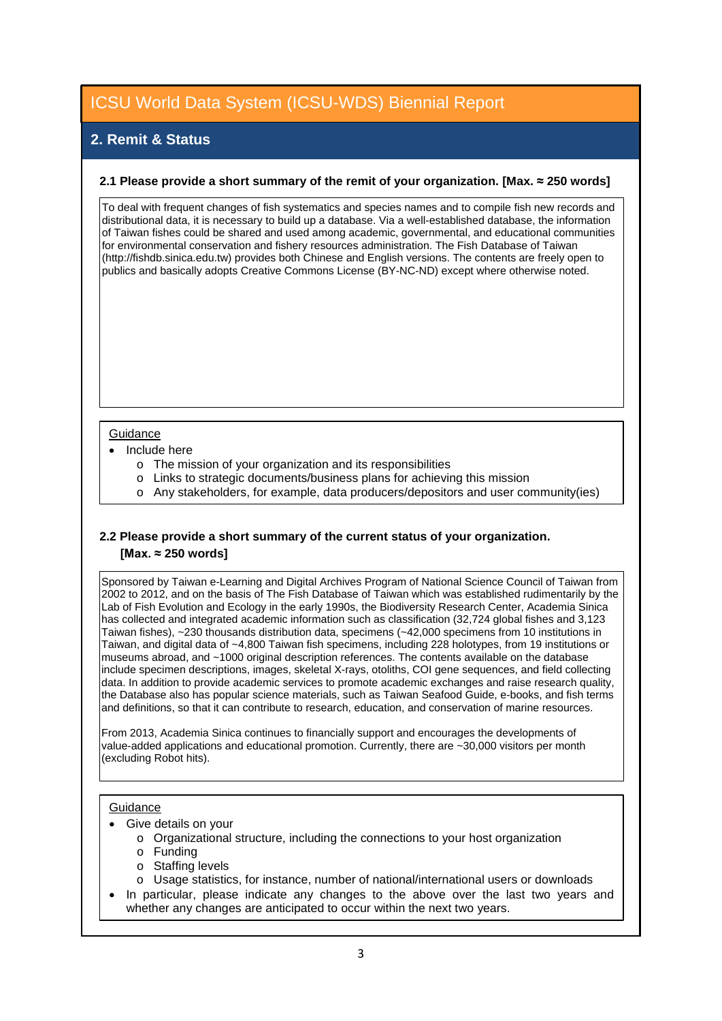# **2. Remit & Status**

#### **2.1 Please provide a short summary of the remit of your organization. [Max. ≈ 250 words]**

To deal with frequent changes of fish systematics and species names and to compile fish new records and distributional data, it is necessary to build up a database. Via a well-established database, the information of Taiwan fishes could be shared and used among academic, governmental, and educational communities for environmental conservation and fishery resources administration. The Fish Database of Taiwan (http://fishdb.sinica.edu.tw) provides both Chinese and English versions. The contents are freely open to publics and basically adopts Creative Commons License (BY-NC-ND) except where otherwise noted.

#### **Guidance**

- Include here
	- o The mission of your organization and its responsibilities
	- o Links to strategic documents/business plans for achieving this mission
	- o Any stakeholders, for example, data producers/depositors and user community(ies)

## **2.2 Please provide a short summary of the current status of your organization. [Max. ≈ 250 words]**

Sponsored by Taiwan e-Learning and Digital Archives Program of National Science Council of Taiwan from 2002 to 2012, and on the basis of The Fish Database of Taiwan which was established rudimentarily by the Lab of Fish Evolution and Ecology in the early 1990s, the Biodiversity Research Center, Academia Sinica has collected and integrated academic information such as classification (32,724 global fishes and 3,123 Taiwan fishes), ~230 thousands distribution data, specimens (~42,000 specimens from 10 institutions in Taiwan, and digital data of ~4,800 Taiwan fish specimens, including 228 holotypes, from 19 institutions or museums abroad, and ~1000 original description references. The contents available on the database include specimen descriptions, images, skeletal X-rays, otoliths, COI gene sequences, and field collecting data. In addition to provide academic services to promote academic exchanges and raise research quality, the Database also has popular science materials, such as Taiwan Seafood Guide, e-books, and fish terms and definitions, so that it can contribute to research, education, and conservation of marine resources.

From 2013, Academia Sinica continues to financially support and encourages the developments of value-added applications and educational promotion. Currently, there are ~30,000 visitors per month (excluding Robot hits).

#### **Guidance**

- Give details on your
	- o Organizational structure, including the connections to your host organization
	- o Funding
	- o Staffing levels
	- o Usage statistics, for instance, number of national/international users or downloads
- In particular, please indicate any changes to the above over the last two years and whether any changes are anticipated to occur within the next two years.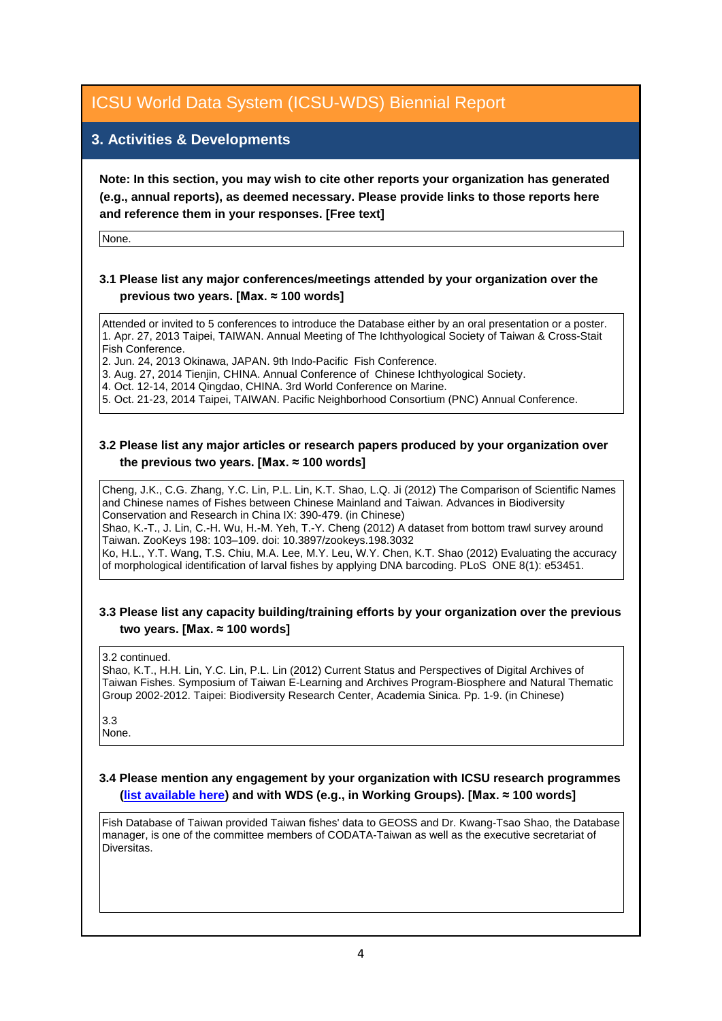# **3. Activities & Developments**

**Note: In this section, you may wish to cite other reports your organization has generated (e.g., annual reports), as deemed necessary. Please provide links to those reports here and reference them in your responses. [Free text]**

None.

## **3.1 Please list any major conferences/meetings attended by your organization over the previous two years. [Max. ≈ 100 words]**

Attended or invited to 5 conferences to introduce the Database either by an oral presentation or a poster. 1. Apr. 27, 2013 Taipei, TAIWAN. Annual Meeting of The Ichthyological Society of Taiwan & Cross-Stait Fish Conference.

2. Jun. 24, 2013 Okinawa, JAPAN. 9th Indo-Pacific Fish Conference.

3. Aug. 27, 2014 Tienjin, CHINA. Annual Conference of Chinese Ichthyological Society.

4. Oct. 12-14, 2014 Qingdao, CHINA. 3rd World Conference on Marine.

5. Oct. 21-23, 2014 Taipei, TAIWAN. Pacific Neighborhood Consortium (PNC) Annual Conference.

### **3.2 Please list any major articles or research papers produced by your organization over the previous two years. [Max. ≈ 100 words]**

Cheng, J.K., C.G. Zhang, Y.C. Lin, P.L. Lin, K.T. Shao, L.Q. Ji (2012) The Comparison of Scientific Names and Chinese names of Fishes between Chinese Mainland and Taiwan. Advances in Biodiversity Conservation and Research in China IX: 390-479. (in Chinese)

Shao, K.-T., J. Lin, C.-H. Wu, H.-M. Yeh, T.-Y. Cheng (2012) A dataset from bottom trawl survey around Taiwan. ZooKeys 198: 103–109. doi: 10.3897/zookeys.198.3032

Ko, H.L., Y.T. Wang, T.S. Chiu, M.A. Lee, M.Y. Leu, W.Y. Chen, K.T. Shao (2012) Evaluating the accuracy of morphological identification of larval fishes by applying DNA barcoding. PLoS ONE 8(1): e53451.

## **3.3 Please list any capacity building/training efforts by your organization over the previous two years. [Max. ≈ 100 words]**

#### 3.2 continued.

Shao, K.T., H.H. Lin, Y.C. Lin, P.L. Lin (2012) Current Status and Perspectives of Digital Archives of Taiwan Fishes. Symposium of Taiwan E-Learning and Archives Program-Biosphere and Natural Thematic Group 2002-2012. Taipei: Biodiversity Research Center, Academia Sinica. Pp. 1-9. (in Chinese)

3.3 None.

#### **3.4 Please mention any engagement by your organization with ICSU research programmes [\(list available here\)](http://www.icsu.org/what-we-do/@@category_search?path=/icsu/what-we-do&Subject:list=International%20Research%20Collaboration) and with WDS (e.g., in Working Groups). [Max. ≈ 100 words]**

Fish Database of Taiwan provided Taiwan fishes' data to GEOSS and Dr. Kwang-Tsao Shao, the Database manager, is one of the committee members of CODATA-Taiwan as well as the executive secretariat of Diversitas.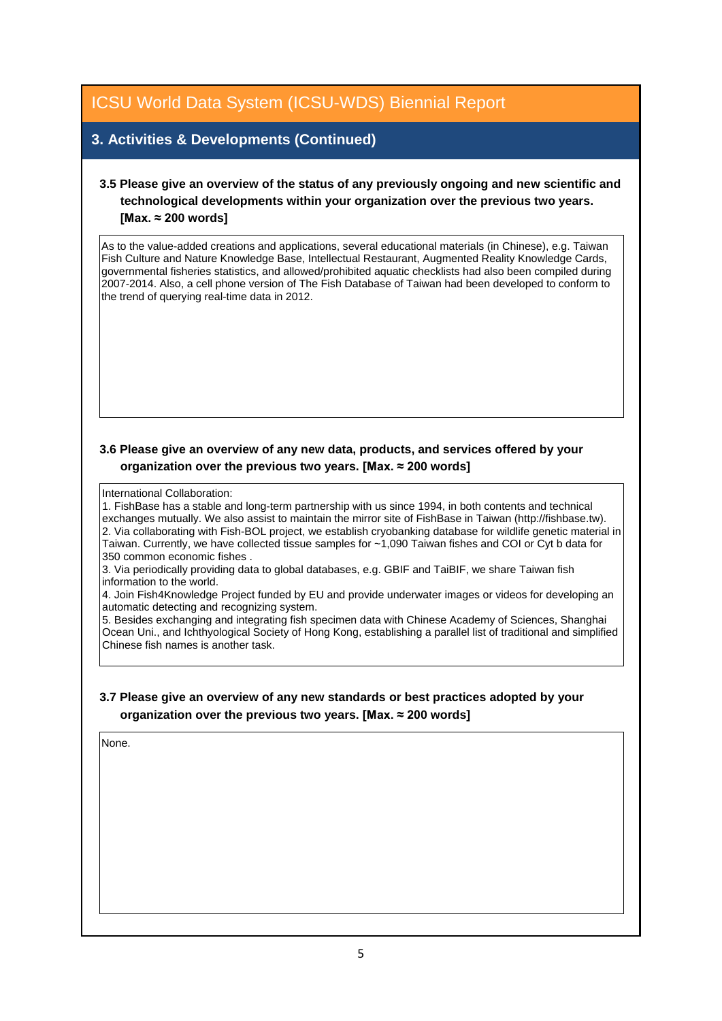# **3. Activities & Developments (Continued)**

## **3.5 Please give an overview of the status of any previously ongoing and new scientific and technological developments within your organization over the previous two years. [Max. ≈ 200 words]**

As to the value-added creations and applications, several educational materials (in Chinese), e.g. Taiwan Fish Culture and Nature Knowledge Base, Intellectual Restaurant, Augmented Reality Knowledge Cards, governmental fisheries statistics, and allowed/prohibited aquatic checklists had also been compiled during 2007-2014. Also, a cell phone version of The Fish Database of Taiwan had been developed to conform to the trend of querying real-time data in 2012.

## **3.6 Please give an overview of any new data, products, and services offered by your organization over the previous two years. [Max. ≈ 200 words]**

International Collaboration:

1. FishBase has a stable and long-term partnership with us since 1994, in both contents and technical exchanges mutually. We also assist to maintain the mirror site of FishBase in Taiwan (http://fishbase.tw). 2. Via collaborating with Fish-BOL project, we establish cryobanking database for wildlife genetic material in Taiwan. Currently, we have collected tissue samples for ~1,090 Taiwan fishes and COI or Cyt b data for 350 common economic fishes .

3. Via periodically providing data to global databases, e.g. GBIF and TaiBIF, we share Taiwan fish information to the world.

4. Join Fish4Knowledge Project funded by EU and provide underwater images or videos for developing an automatic detecting and recognizing system.

5. Besides exchanging and integrating fish specimen data with Chinese Academy of Sciences, Shanghai Ocean Uni., and Ichthyological Society of Hong Kong, establishing a parallel list of traditional and simplified Chinese fish names is another task.

## **3.7 Please give an overview of any new standards or best practices adopted by your organization over the previous two years. [Max. ≈ 200 words]**

None.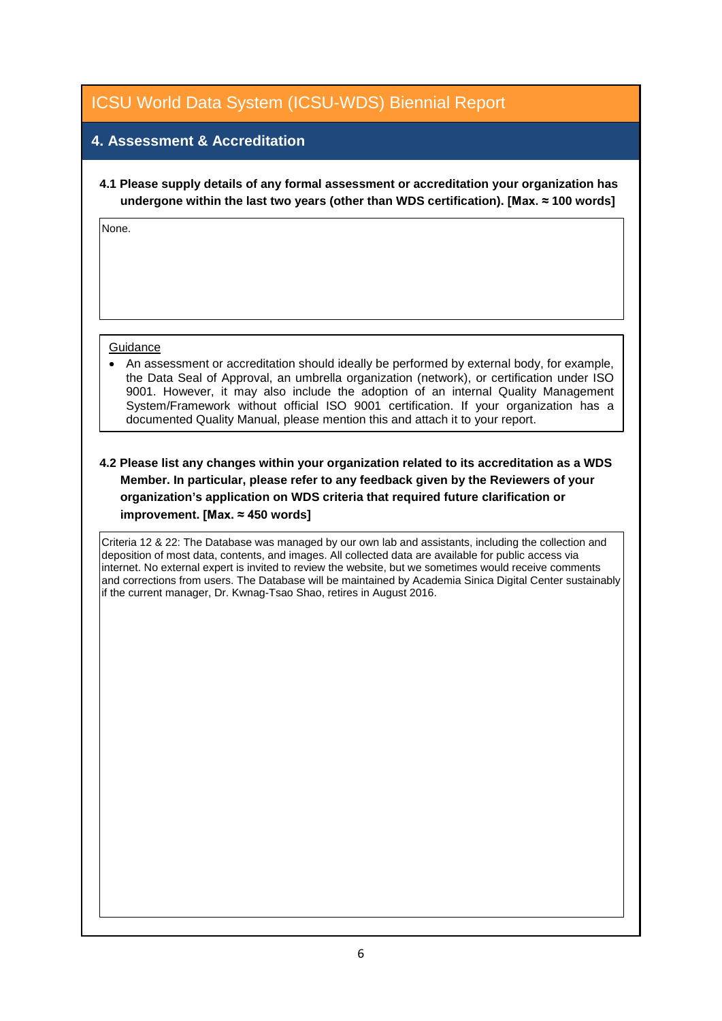# **4. Assessment & Accreditation**

**4.1 Please supply details of any formal assessment or accreditation your organization has undergone within the last two years (other than WDS certification). [Max. ≈ 100 words]**

None.

#### **Guidance**

• An assessment or accreditation should ideally be performed by external body, for example, the Data Seal of Approval, an umbrella organization (network), or certification under ISO 9001. However, it may also include the adoption of an internal Quality Management System/Framework without official ISO 9001 certification. If your organization has a documented Quality Manual, please mention this and attach it to your report.

## **4.2 Please list any changes within your organization related to its accreditation as a WDS Member. In particular, please refer to any feedback given by the Reviewers of your organization's application on WDS criteria that required future clarification or improvement. [Max. ≈ 450 words]**

Criteria 12 & 22: The Database was managed by our own lab and assistants, including the collection and deposition of most data, contents, and images. All collected data are available for public access via internet. No external expert is invited to review the website, but we sometimes would receive comments and corrections from users. The Database will be maintained by Academia Sinica Digital Center sustainably if the current manager, Dr. Kwnag-Tsao Shao, retires in August 2016.